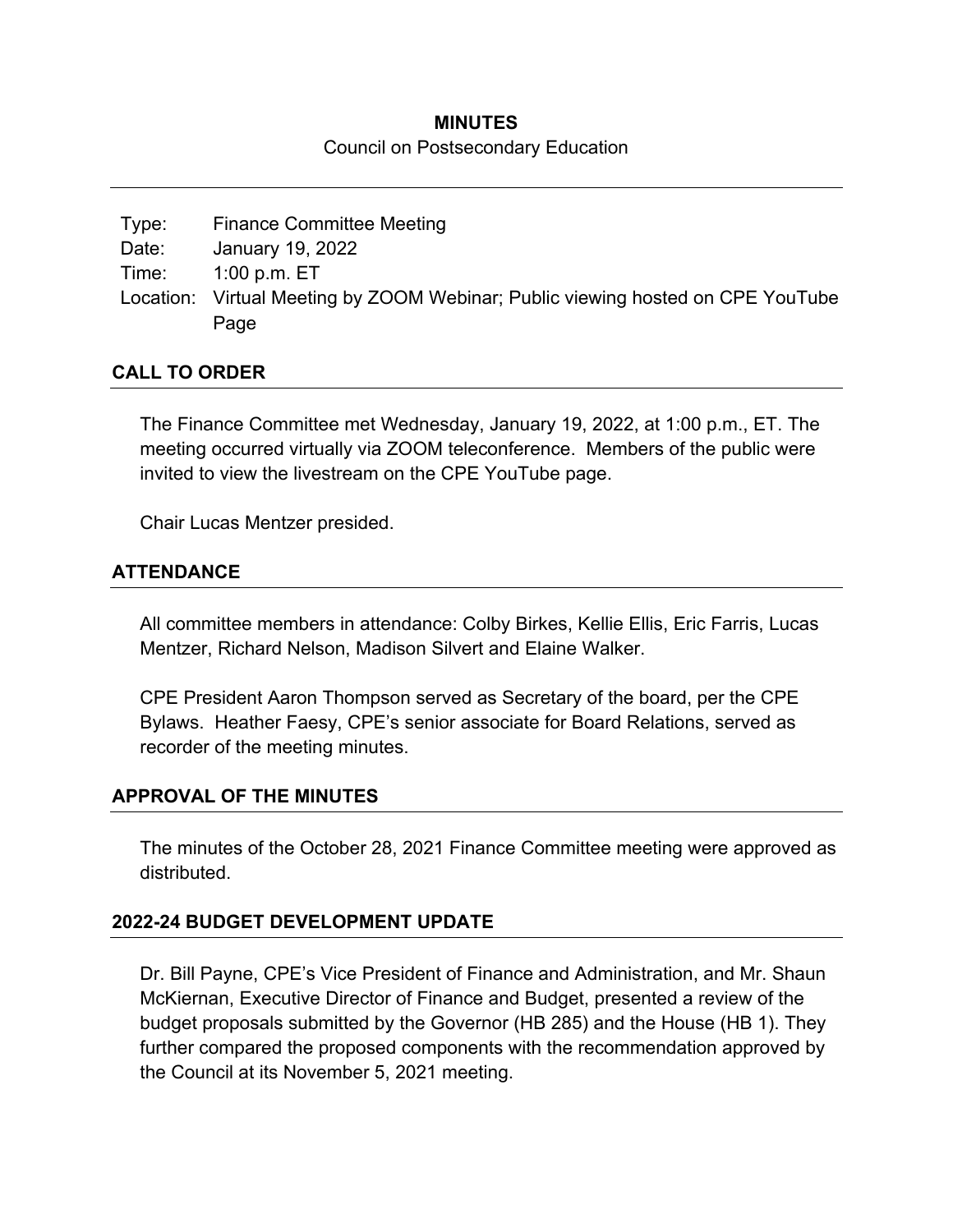#### **MINUTES**

#### Council on Postsecondary Education

| Type: | <b>Finance Committee Meeting</b>                                                |
|-------|---------------------------------------------------------------------------------|
| Date: | January 19, 2022                                                                |
| Time: | $1:00$ p.m. $\mathsf{E}\mathsf{T}$                                              |
|       | Location: Virtual Meeting by ZOOM Webinar; Public viewing hosted on CPE YouTube |
|       | Page                                                                            |

#### **CALL TO ORDER**

The Finance Committee met Wednesday, January 19, 2022, at 1:00 p.m., ET. The meeting occurred virtually via ZOOM teleconference. Members of the public were invited to view the livestream on the CPE YouTube page.

Chair Lucas Mentzer presided.

### **ATTENDANCE**

All committee members in attendance: Colby Birkes, Kellie Ellis, Eric Farris, Lucas Mentzer, Richard Nelson, Madison Silvert and Elaine Walker.

CPE President Aaron Thompson served as Secretary of the board, per the CPE Bylaws. Heather Faesy, CPE's senior associate for Board Relations, served as recorder of the meeting minutes.

#### **APPROVAL OF THE MINUTES**

The minutes of the October 28, 2021 Finance Committee meeting were approved as distributed.

#### **2022-24 BUDGET DEVELOPMENT UPDATE**

Dr. Bill Payne, CPE's Vice President of Finance and Administration, and Mr. Shaun McKiernan, Executive Director of Finance and Budget, presented a review of the budget proposals submitted by the Governor (HB 285) and the House (HB 1). They further compared the proposed components with the recommendation approved by the Council at its November 5, 2021 meeting.